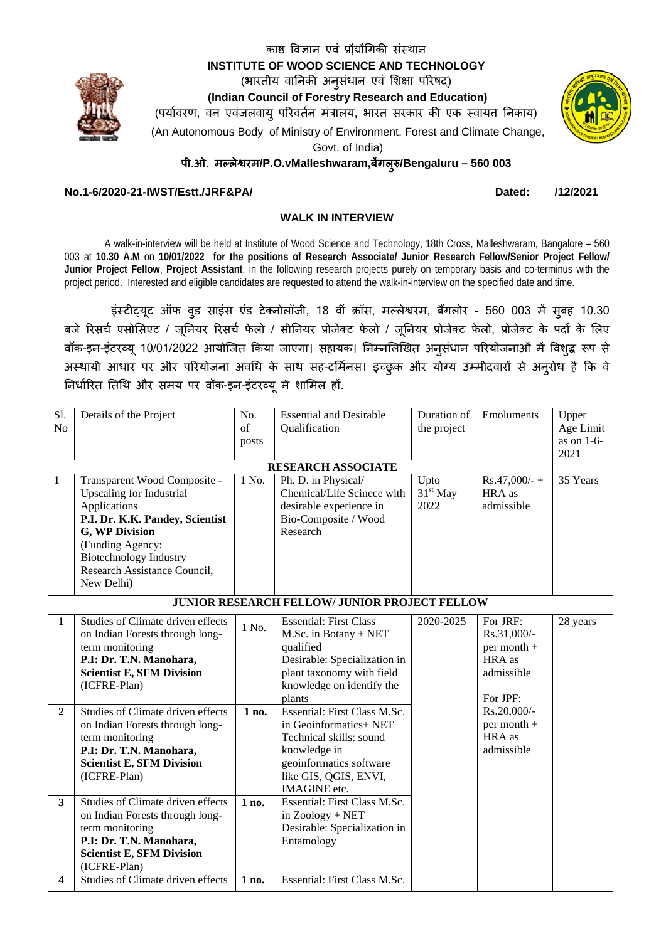INSTITUTE OF WOOD SCIENCE AND TECHNOLOGY (भारतीय वानिकी अनुसंधान एवं शिक्षा परिषद) (Indian Council of Forestry Research and Education) (पर्यावरण, वन एवंजलवायु परिवर्तन मंत्रालय, भारत सरकार की एक स्वायत निकाय)

काष्ठ विज्ञान एवं प्रौद्यौगिकी संस्थान

(An Autonomous Body of Ministry of Environment, Forest and Climate Change,

Govt. of India)

पी.ओ. मल्लेश्वरम/P.O.vMalleshwaram,बैंगल्रु/Bengaluru - 560 003

# No.1-6/2020-21-IWST/Estt./JRF&PA/

Dated: /12/2021

## **WALK IN INTERVIEW**

A walk-in-interview will be held at Institute of Wood Science and Technology, 18th Cross, Malleshwaram, Bangalore - 560 003 at 10.30 A.M on 10/01/2022 for the positions of Research Associate/ Junior Research Fellow/Senior Project Fellow/ Junior Project Fellow, Project Assistant. in the following research projects purely on temporary basis and co-terminus with the project period. Interested and eligible candidates are requested to attend the walk-in-interview on the specified date and time.

इंस्टीट्यूट ऑफ वूड साइंस एंड टेक्नोलॉजी, 18 वीं क्रॉस, मल्लेश्वरम, बैंगलोर - 560 003 में सुबह 10.30 बजे रिसर्च एसोसिएट / जूनियर रिसर्च फेलो / सीनियर प्रोजेक्ट फेलो / जूनियर प्रोजेक्ट फेलो, प्रोजेक्ट के पदों के लिए वॉक-इन-इंटरव्य 10/01/2022 आयोजित किया जाएगा। सहायक। निम्नलिखित अनुसंधान परियोजनाओं में विश़द्ध रूप से अस्थायी आधार पर और परियोजना अवधि के साथ सह-टर्मिनस। इच्छुक और योग्य उम्मीदवारों से अनुरोध है कि वे निर्धारित तिथि और समय पर वॉक-इन-इंटरव्यू में शामिल हों.

| Sl.<br>N <sub>o</sub>                         | Details of the Project                                                                                                                                                                                                                  | No.<br>$\sigma$ f<br>posts | <b>Essential and Desirable</b><br>Qualification                                                                                                                              | Duration of<br>the project | Emoluments                                                                 | Upper<br>Age Limit<br>as on 1-6-<br>2021 |
|-----------------------------------------------|-----------------------------------------------------------------------------------------------------------------------------------------------------------------------------------------------------------------------------------------|----------------------------|------------------------------------------------------------------------------------------------------------------------------------------------------------------------------|----------------------------|----------------------------------------------------------------------------|------------------------------------------|
| <b>RESEARCH ASSOCIATE</b>                     |                                                                                                                                                                                                                                         |                            |                                                                                                                                                                              |                            |                                                                            |                                          |
| 1                                             | Transparent Wood Composite -<br><b>Upscaling for Industrial</b><br>Applications<br>P.I. Dr. K.K. Pandey, Scientist<br>G, WP Division<br>(Funding Agency:<br><b>Biotechnology Industry</b><br>Research Assistance Council,<br>New Delhi) | 1 No.                      | Ph. D. in Physical/<br>Chemical/Life Scinece with<br>desirable experience in<br>Bio-Composite / Wood<br>Research                                                             | Upto<br>$31st$ May<br>2022 | $Rs.47,000/ - +$<br>HRA as<br>admissible                                   | 35 Years                                 |
| JUNIOR RESEARCH FELLOW/ JUNIOR PROJECT FELLOW |                                                                                                                                                                                                                                         |                            |                                                                                                                                                                              |                            |                                                                            |                                          |
| $\mathbf{1}$                                  | Studies of Climate driven effects<br>on Indian Forests through long-<br>term monitoring<br>P.I: Dr. T.N. Manohara,<br><b>Scientist E, SFM Division</b><br>(ICFRE-Plan)                                                                  | 1 No.                      | <b>Essential: First Class</b><br>M.Sc. in Botany + NET<br>qualified<br>Desirable: Specialization in<br>plant taxonomy with field<br>knowledge on identify the<br>plants      | 2020-2025                  | For JRF:<br>Rs.31,000/-<br>per month +<br>HRA as<br>admissible<br>For JPF: | 28 years                                 |
| $\overline{2}$                                | Studies of Climate driven effects<br>on Indian Forests through long-<br>term monitoring<br>P.I: Dr. T.N. Manohara,<br><b>Scientist E, SFM Division</b><br>(ICFRE-Plan)                                                                  | 1 no.                      | Essential: First Class M.Sc.<br>in Geoinformatics+ NET<br>Technical skills: sound<br>knowledge in<br>geoinformatics software<br>like GIS, QGIS, ENVI,<br><b>IMAGINE</b> etc. |                            | Rs.20,000/-<br>per month +<br>HRA as<br>admissible                         |                                          |
| $\overline{\mathbf{3}}$                       | Studies of Climate driven effects<br>on Indian Forests through long-<br>term monitoring<br>P.I: Dr. T.N. Manohara,<br><b>Scientist E, SFM Division</b><br>(ICFRE-Plan)                                                                  | 1 no.                      | Essential: First Class M.Sc.<br>in Zoology + NET<br>Desirable: Specialization in<br>Entamology                                                                               |                            |                                                                            |                                          |
| 4                                             | Studies of Climate driven effects                                                                                                                                                                                                       | 1 no.                      | Essential: First Class M.Sc.                                                                                                                                                 |                            |                                                                            |                                          |

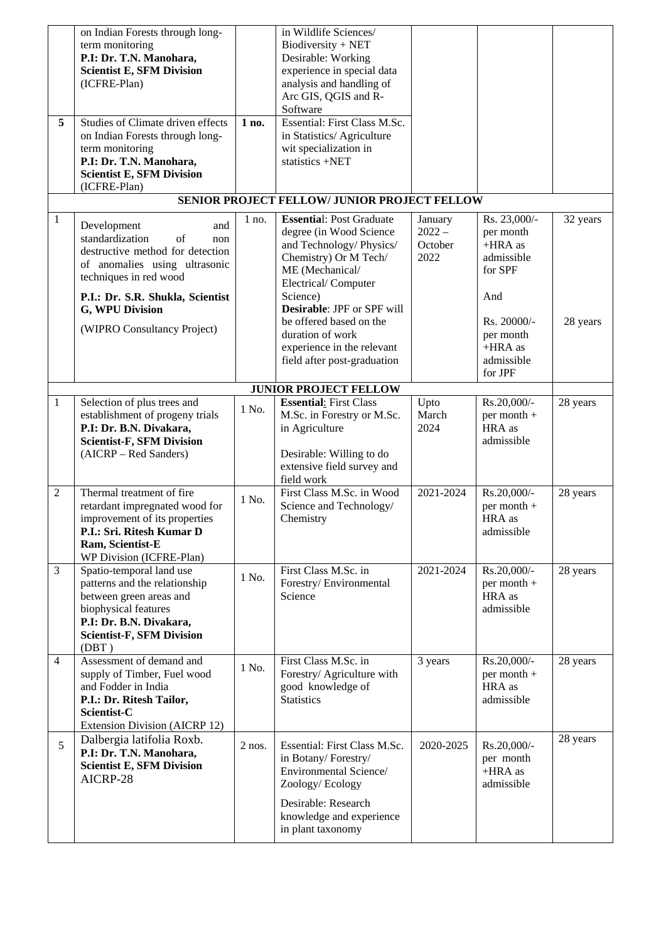|                | on Indian Forests through long-   |          | in Wildlife Sciences/                        |           |               |          |
|----------------|-----------------------------------|----------|----------------------------------------------|-----------|---------------|----------|
|                | term monitoring                   |          | $Biodiversity + NET$                         |           |               |          |
|                | P.I: Dr. T.N. Manohara,           |          | Desirable: Working                           |           |               |          |
|                | <b>Scientist E, SFM Division</b>  |          | experience in special data                   |           |               |          |
|                | (ICFRE-Plan)                      |          | analysis and handling of                     |           |               |          |
|                |                                   |          | Arc GIS, QGIS and R-                         |           |               |          |
|                |                                   |          | Software                                     |           |               |          |
| 5              | Studies of Climate driven effects | 1 no.    | Essential: First Class M.Sc.                 |           |               |          |
|                | on Indian Forests through long-   |          | in Statistics/ Agriculture                   |           |               |          |
|                | term monitoring                   |          | wit specialization in                        |           |               |          |
|                | P.I: Dr. T.N. Manohara,           |          | statistics +NET                              |           |               |          |
|                | <b>Scientist E, SFM Division</b>  |          |                                              |           |               |          |
|                | (ICFRE-Plan)                      |          |                                              |           |               |          |
|                |                                   |          | SENIOR PROJECT FELLOW/ JUNIOR PROJECT FELLOW |           |               |          |
| $\mathbf{1}$   |                                   | $1$ no.  | <b>Essential: Post Graduate</b>              | January   | Rs. 23,000/-  | 32 years |
|                | Development<br>and                |          | degree (in Wood Science                      | $2022 -$  | per month     |          |
|                | standardization<br>of<br>non      |          | and Technology/Physics/                      | October   | $+HRA$ as     |          |
|                | destructive method for detection  |          | Chemistry) Or M Tech/                        | 2022      | admissible    |          |
|                | of anomalies using ultrasonic     |          | ME (Mechanical/                              |           | for SPF       |          |
|                | techniques in red wood            |          | Electrical/Computer                          |           |               |          |
|                | P.I.: Dr. S.R. Shukla, Scientist  |          | Science)                                     |           | And           |          |
|                | G, WPU Division                   |          | Desirable: JPF or SPF will                   |           |               |          |
|                |                                   |          | be offered based on the                      |           | Rs. 20000/-   | 28 years |
|                | (WIPRO Consultancy Project)       |          | duration of work                             |           | per month     |          |
|                |                                   |          | experience in the relevant                   |           | $+HRA$ as     |          |
|                |                                   |          | field after post-graduation                  |           | admissible    |          |
|                |                                   |          |                                              |           | for JPF       |          |
|                |                                   |          | <b>JUNIOR PROJECT FELLOW</b>                 |           |               |          |
| $\mathbf{1}$   | Selection of plus trees and       |          | <b>Essential:</b> First Class                | Upto      | Rs.20,000/-   | 28 years |
|                | establishment of progeny trials   | 1 No.    | M.Sc. in Forestry or M.Sc.                   | March     | per month +   |          |
|                | P.I: Dr. B.N. Divakara,           |          | in Agriculture                               | 2024      | HRA as        |          |
|                | <b>Scientist-F, SFM Division</b>  |          |                                              |           | admissible    |          |
|                | (AICRP – Red Sanders)             |          | Desirable: Willing to do                     |           |               |          |
|                |                                   |          | extensive field survey and                   |           |               |          |
|                |                                   |          | field work                                   |           |               |          |
| $\overline{2}$ | Thermal treatment of fire         |          | First Class M.Sc. in Wood                    | 2021-2024 | Rs.20,000/-   | 28 years |
|                | retardant impregnated wood for    | 1 No.    | Science and Technology/                      |           | per month +   |          |
|                | improvement of its properties     |          | Chemistry                                    |           | HRA as        |          |
|                | P.I.: Sri. Ritesh Kumar D         |          |                                              |           | admissible    |          |
|                | Ram, Scientist-E                  |          |                                              |           |               |          |
|                | WP Division (ICFRE-Plan)          |          |                                              |           |               |          |
| 3              | Spatio-temporal land use          | 1 No.    | First Class M.Sc. in                         | 2021-2024 | Rs.20,000/-   | 28 years |
|                | patterns and the relationship     |          | Forestry/Environmental                       |           | $per month +$ |          |
|                | between green areas and           |          | Science                                      |           | HRA as        |          |
|                | biophysical features              |          |                                              |           | admissible    |          |
|                | P.I: Dr. B.N. Divakara,           |          |                                              |           |               |          |
|                | <b>Scientist-F, SFM Division</b>  |          |                                              |           |               |          |
|                | (DBT)                             |          |                                              |           |               |          |
| $\overline{4}$ | Assessment of demand and          | 1 No.    | First Class M.Sc. in                         | 3 years   | Rs.20,000/-   | 28 years |
|                | supply of Timber, Fuel wood       |          | Forestry/ Agriculture with                   |           | $per month +$ |          |
|                | and Fodder in India               |          | good knowledge of                            |           | HRA as        |          |
|                | P.I.: Dr. Ritesh Tailor,          |          | <b>Statistics</b>                            |           | admissible    |          |
|                | Scientist-C                       |          |                                              |           |               |          |
|                | Extension Division (AICRP 12)     |          |                                              |           |               |          |
| 5              | Dalbergia latifolia Roxb.         | $2$ nos. | Essential: First Class M.Sc.                 | 2020-2025 | Rs.20,000/-   | 28 years |
|                | P.I: Dr. T.N. Manohara,           |          | in Botany/Forestry/                          |           | per month     |          |
|                | <b>Scientist E, SFM Division</b>  |          | Environmental Science/                       |           | $+HRA$ as     |          |
|                | AICRP-28                          |          | Zoology/Ecology                              |           | admissible    |          |
|                |                                   |          |                                              |           |               |          |
|                |                                   |          | Desirable: Research                          |           |               |          |
|                |                                   |          | knowledge and experience                     |           |               |          |
|                |                                   |          | in plant taxonomy                            |           |               |          |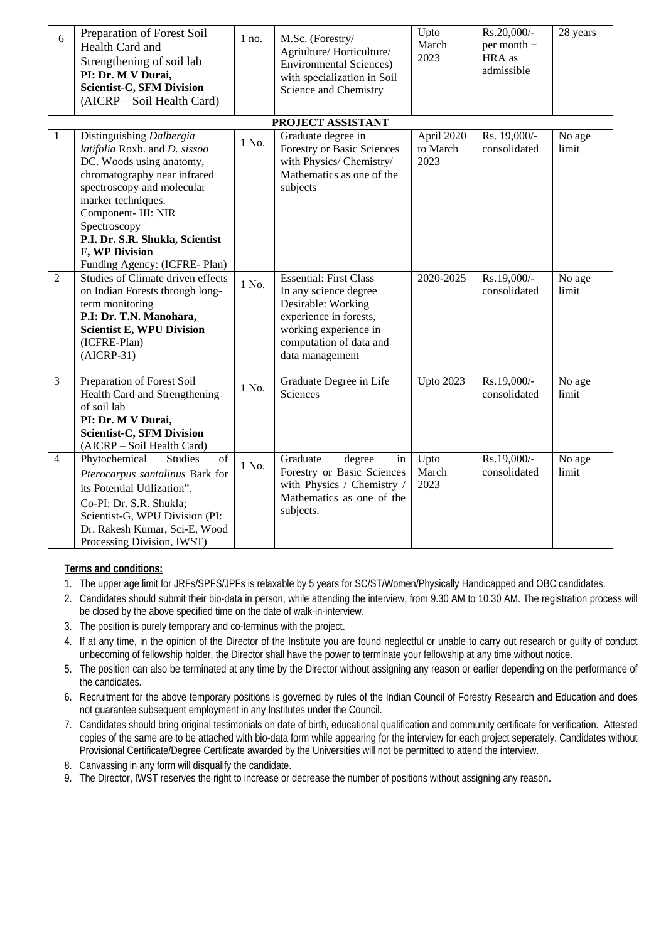| 6              | Preparation of Forest Soil<br>Health Card and<br>Strengthening of soil lab<br>PI: Dr. M V Durai,<br><b>Scientist-C, SFM Division</b><br>(AICRP – Soil Health Card)                                                                                                                                     | $1$ no. | M.Sc. (Forestry/<br>Agriulture/Horticulture/<br><b>Environmental Sciences)</b><br>with specialization in Soil<br>Science and Chemistry                                        | Upto<br>March<br>2023          | Rs.20,000/-<br>per month +<br>HRA as<br>admissible | 28 years        |
|----------------|--------------------------------------------------------------------------------------------------------------------------------------------------------------------------------------------------------------------------------------------------------------------------------------------------------|---------|-------------------------------------------------------------------------------------------------------------------------------------------------------------------------------|--------------------------------|----------------------------------------------------|-----------------|
|                |                                                                                                                                                                                                                                                                                                        |         | PROJECT ASSISTANT                                                                                                                                                             |                                |                                                    |                 |
| $\mathbf{1}$   | Distinguishing Dalbergia<br>latifolia Roxb. and D. sissoo<br>DC. Woods using anatomy,<br>chromatography near infrared<br>spectroscopy and molecular<br>marker techniques.<br>Component- III: NIR<br>Spectroscopy<br>P.I. Dr. S.R. Shukla, Scientist<br>F, WP Division<br>Funding Agency: (ICFRE- Plan) | 1 No.   | Graduate degree in<br>Forestry or Basic Sciences<br>with Physics/ Chemistry/<br>Mathematics as one of the<br>subjects                                                         | April 2020<br>to March<br>2023 | Rs. 19,000/-<br>consolidated                       | No age<br>limit |
| 2              | Studies of Climate driven effects<br>on Indian Forests through long-<br>term monitoring<br>P.I: Dr. T.N. Manohara,<br><b>Scientist E, WPU Division</b><br>(ICFRE-Plan)<br>$(AICRP-31)$                                                                                                                 | 1 No.   | <b>Essential: First Class</b><br>In any science degree<br>Desirable: Working<br>experience in forests,<br>working experience in<br>computation of data and<br>data management | 2020-2025                      | Rs.19,000/-<br>consolidated                        | No age<br>limit |
| 3              | Preparation of Forest Soil<br>Health Card and Strengthening<br>of soil lab<br>PI: Dr. M V Durai,<br><b>Scientist-C, SFM Division</b><br>(AICRP - Soil Health Card)                                                                                                                                     | 1 No.   | Graduate Degree in Life<br>Sciences                                                                                                                                           | <b>Upto 2023</b>               | Rs.19,000/-<br>consolidated                        | No age<br>limit |
| $\overline{4}$ | Phytochemical<br><b>Studies</b><br>of<br>Pterocarpus santalinus Bark for<br>its Potential Utilization".<br>Co-PI: Dr. S.R. Shukla;<br>Scientist-G, WPU Division (PI:<br>Dr. Rakesh Kumar, Sci-E, Wood<br>Processing Division, IWST)                                                                    | 1 No.   | Graduate<br>degree<br>in<br>Forestry or Basic Sciences<br>with Physics / Chemistry /<br>Mathematics as one of the<br>subjects.                                                | Upto<br>March<br>2023          | Rs.19,000/-<br>consolidated                        | No age<br>limit |

# **Terms and conditions:**

- 1. The upper age limit for JRFs/SPFS/JPFs is relaxable by 5 years for SC/ST/Women/Physically Handicapped and OBC candidates.
- 2. Candidates should submit their bio-data in person, while attending the interview, from 9.30 AM to 10.30 AM. The registration process will be closed by the above specified time on the date of walk-in-interview.
- 3. The position is purely temporary and co-terminus with the project.
- 4. If at any time, in the opinion of the Director of the Institute you are found neglectful or unable to carry out research or guilty of conduct unbecoming of fellowship holder, the Director shall have the power to terminate your fellowship at any time without notice.
- 5. The position can also be terminated at any time by the Director without assigning any reason or earlier depending on the performance of the candidates.
- 6. Recruitment for the above temporary positions is governed by rules of the Indian Council of Forestry Research and Education and does not guarantee subsequent employment in any Institutes under the Council.
- 7. Candidates should bring original testimonials on date of birth, educational qualification and community certificate for verification. Attested copies of the same are to be attached with bio-data form while appearing for the interview for each project seperately. Candidates without Provisional Certificate/Degree Certificate awarded by the Universities will not be permitted to attend the interview.
- 8. Canvassing in any form will disqualify the candidate.
- 9. The Director, IWST reserves the right to increase or decrease the number of positions without assigning any reason.